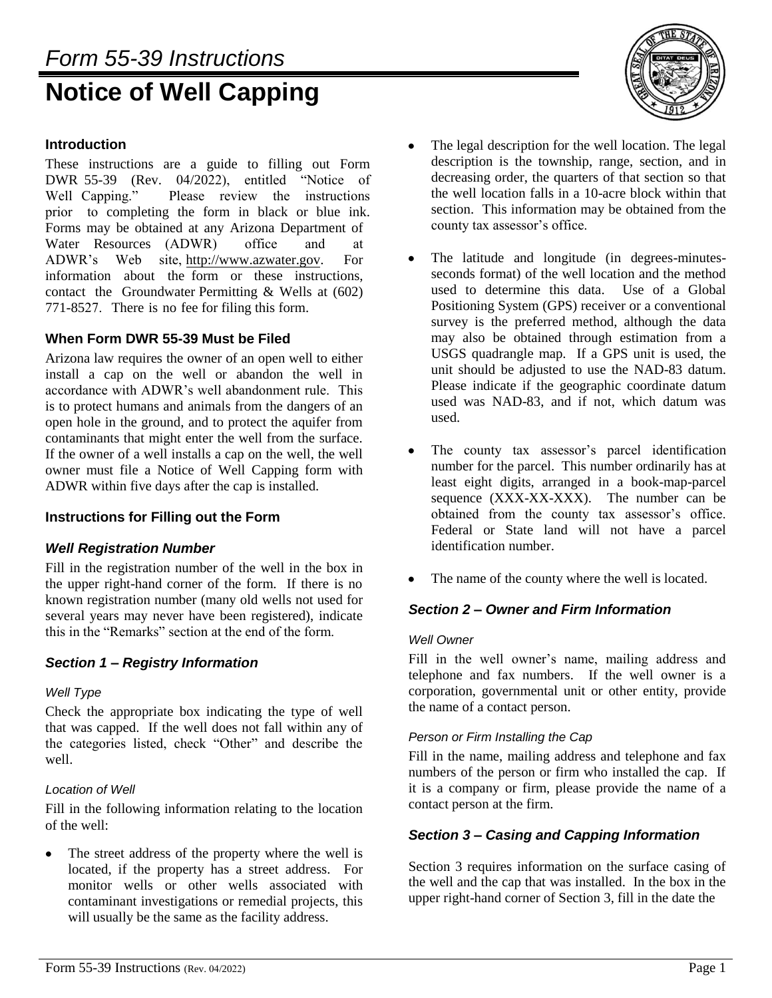# *Form 55-39 Instructions* **Notice of Well Capping**



# **Introduction**

These instructions are a guide to filling out Form DWR 55-39 (Rev. 04/2022), entitled "Notice of Well Capping." Please review the instructions prior to completing the form in black or blue ink. Forms may be obtained at any Arizona Department of Water Resources (ADWR) office and at ADWR's Web site, http://www.azwater.gov. For information about the form or these instructions, contact the Groundwater Permitting & Wells at (602) 771-8527. There is no fee for filing this form.

## **When Form DWR 55-39 Must be Filed**

Arizona law requires the owner of an open well to either install a cap on the well or abandon the well in accordance with ADWR's well abandonment rule. This is to protect humans and animals from the dangers of an open hole in the ground, and to protect the aquifer from contaminants that might enter the well from the surface. If the owner of a well installs a cap on the well, the well owner must file a Notice of Well Capping form with ADWR within five days after the cap is installed.

## **Instructions for Filling out the Form**

## *Well Registration Number*

Fill in the registration number of the well in the box in the upper right-hand corner of the form. If there is no known registration number (many old wells not used for several years may never have been registered), indicate this in the "Remarks" section at the end of the form.

# *Section 1 – Registry Information*

#### *Well Type*

Check the appropriate box indicating the type of well that was capped. If the well does not fall within any of the categories listed, check "Other" and describe the well.

#### *Location of Well*

Fill in the following information relating to the location of the well:

The street address of the property where the well is  $\bullet$ located, if the property has a street address. For monitor wells or other wells associated with contaminant investigations or remedial projects, this will usually be the same as the facility address.

- $\bullet$ The legal description for the well location. The legal description is the township, range, section, and in decreasing order, the quarters of that section so that the well location falls in a 10-acre block within that section. This information may be obtained from the county tax assessor's office.
- The latitude and longitude (in degrees-minutes- $\bullet$ seconds format) of the well location and the method used to determine this data. Use of a Global Positioning System (GPS) receiver or a conventional survey is the preferred method, although the data may also be obtained through estimation from a USGS quadrangle map. If a GPS unit is used, the unit should be adjusted to use the NAD-83 datum. Please indicate if the geographic coordinate datum used was NAD-83, and if not, which datum was used.
- The county tax assessor's parcel identification number for the parcel. This number ordinarily has at least eight digits, arranged in a book-map-parcel sequence (XXX-XX-XXX). The number can be obtained from the county tax assessor's office. Federal or State land will not have a parcel identification number.
- The name of the county where the well is located.

## *Section 2 – Owner and Firm Information*

#### *Well Owner*

Fill in the well owner's name, mailing address and telephone and fax numbers. If the well owner is a corporation, governmental unit or other entity, provide the name of a contact person.

#### *Person or Firm Installing the Cap*

Fill in the name, mailing address and telephone and fax numbers of the person or firm who installed the cap. If it is a company or firm, please provide the name of a contact person at the firm.

## *Section 3 – Casing and Capping Information*

Section 3 requires information on the surface casing of the well and the cap that was installed. In the box in the upper right-hand corner of Section 3, fill in the date the